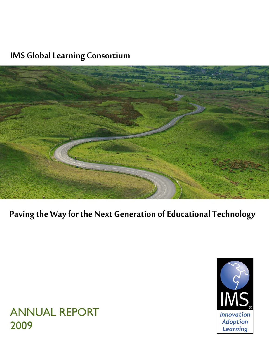# **IMS Global Learning Consortium**



Paving the Way for the Next Generation of Educational Technology



**ANNUAL REPORT** 2009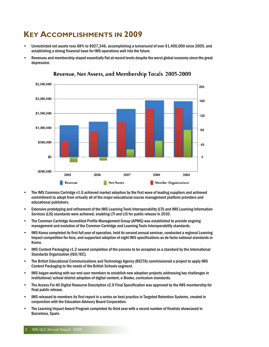### **KEY ACCOMPLISHMENTS IN 2009**

- Unrestricted net assets rose 68% to \$927,346, accomplishing a turnaround of over \$1,400,000 since 2005, and establishing a strong financial base for IMS operations well into the future.
- Revenues and membership stayed essentially flat at record levels despite the worst global economy since the great depression.



Revenue, Net Assets, and Membership Totals 2005-2009

- The IMS Common Cartridge v1.0 achieved market adoption by the first wave of leading suppliers and achieved commitment to adopt from virtually all of the major educational course management platform providers and educational publishers.
- Extensive prototyping and refinement of the IMS Learning Tools Interoperability (LTI) and IMS Learning Information Services (LIS) standards were achieved, enabling LTI and LIS for public release in 2010.
- The Common Cartridge Accredited Profile Management Group (APMG) was established to provide ongoing management and evolution of the Common Cartridge and Learning Tools Interoperability standards.
- IMS Korea completed its first full year of operation, held its second annual seminar, conducted a regional Learning Impact competition for Asia, and supported adoption of eight IMS specifications as de facto national standards in Korea.
- IMS Content Packaging v1.2 neared completion of the process to be accepted as a standard by the International Standards Organization (ISO/IEC).
- The British Educational Communications and Technology Agency (BECTA) commissioned a project to apply IMS Content Packaging to the needs of the British Schools segment.
- IMS began working with our end user members to establish new adoption projects addressing key challenges in institutional/school district adoption of digital content, e-Books, curriculum standards.
- The Access For All Digital Resource Description v2.0 Final Specification was approved by the IMS membership for final public release.
- IMS released to members its first report in a series on best practice in Targeted Retention Systems, created in conjunction with the Education Advisory Board Corporation.
- The Learning Impact Award Program completed its third year with a record number of finalists showcased in Barcelona, Spain.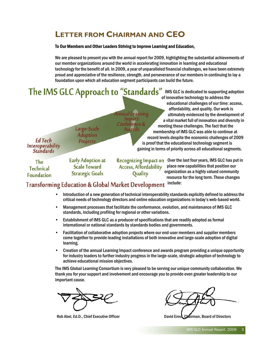## **LETTER FROM CHAIRMAN AND CEO**

#### To Our Members and Other Leaders Striving to Improve Learning and Education,

We are pleased to present you with the annual report for 2009, highlighting the substantial achievements of our member organizations around the world in accelerating innovation in learning and educational technology for the benefit of all. In 2009, a year of unparalleled financial challenges, we have been extremely proud and appreciative of the resilience, strength, and perseverance of our members in continuing to lay a foundation upon which all education segment participants can build the future.

The IMS GLC Approach to "Standards" IMS GLC is dedicated to supporting adoption

Large-Scale **Adoption Projects** 

of innovative technology to address the educational challenges of our time: access, affordability, and quality. Our work is **Annual Learning** ultimately evidenced by the development of a vital market full of innovation and diversity in meeting these challenges. The fact that the membership of IMS GLC was able to continue at record levels despite the economic challenges of 2009 is proof that the educational technology segment is gaining in terms of priority across all educational segments.

**Standards** The **Technical** 

**Foundation** 

**Ed Tech** 

Interoperability

**Early Adoption at Scale Toward Strategic Goals** 

**Access, Affordability** Quality

Impact<br>Conference &

Awards

Recognizing Impact on Over the last four years, IMS GLC has put in place new capabilities that position our organization as a highly valued community resource for the long term. These changes

### Transforming Education & Global Market Development include:

- Introduction of a new generation of technical interoperability standards explicitly defined to address the critical needs of technology directors and online education organizations in today's web-based world.
- Management processes that facilitate the conformance, evolution, and maintenance of IMS GLC standards, including profiling for regional or other variations.
- Establishment of IMS GLC as a producer of specifications that are readily adopted as formal international or national standards by standards bodies and governments.
- Facilitation of collaborative adoption projects where our end-user members and supplier members come together to provide leading installations of both innovative and large-scale adoption of digital learning.
- Creation of the annual Learning Impact conference and awards program providing a unique opportunity for industry leaders to further industry progress in the large-scale, strategic adoption of technology to achieve educational mission objectives.

The IMS Global Learning Consortium is very pleased to be serving our unique community collaboration. We thank you for your support and involvement and encourage you to provide even greater leadership to our important cause.

Rob Abel, Ed.D., Chief Executive Officer **David Ernst, Chairman, Board of Directors**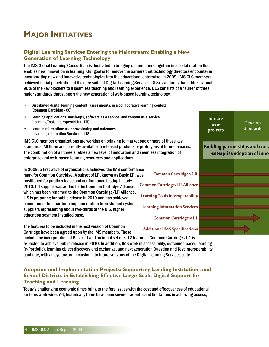# **MAJOR INITIATIVES**

### **Digital Learning Services Entering the Mainstream: Enabling a New Generation of Learning Technology**

The IMS Global Learning Consortium is dedicated to bringing our members together in a collaboration that enables new innovation in learning. Our goal is to remove the barriers that technology directors encounter in incorporating new and innovative technologies into the educational enterprise. In 2009, IMS GLC members achieved initial penetration of the core suite of Digital Learning Services (DLS) standards that address about 90% of the key blockers to a seamless teaching and learning experience. DLS consists of a "suite" of three major standards that support the new generation of web-based learning technology.

- Distributed digital learning content, assessments, in a collaborative learning context (Common Cartridge - CC)
- Learning applications, mash-ups, software as a service, and content as a service (Learning Tools Interoperability - LTI)
- Learner information: user provisioning and outcomes (Learning Information Services – LIS)

IMS GLC member organizations are working on bringing to market one or more of these key standards. All three are currently available in released products or prototypes of future releases. The combination of all three enables a new level of innovation and seamless integration of enterprise and web-based learning resources and applications.

In 2009, a first wave of organizations achieved the IMS conformance mark for Common Cartridge. A subset of LTI, known as Basic LTI, was positioned for public release and conformance testing in early Common Cartridge/LTI Alliar 2010. LTI support was added to the Common Cartridge Alliance, which has been renamed to the Common Cartridge/LTI Alliance. LIS is preparing for public release in 2010 and has achieved commitment for near-term implementation from student system suppliers representing about two-thirds of the U.S. higher education segment installed base.

The features to be included in the next version of Common Cartridge have been agreed upon by the IMS members. These

include the incorporation of Basic LTI and an initial set of K-12 features. Common Cartridge v1.1 is expected to achieve public release in 2010. In addition, IMS work in accessibility, outcomes-based learning (e-Portfolio), learning object discovery and exchange, and next generation Question and Test Interoperability continue, with an eye toward inclusion into future versions of the Digital Learning Services suite.

#### **Adoption and Implementation Projects: Supporting Leading Institutions and School Districts in Establishing Effective Large-Scale Digital Support for Teaching and Learning**

Today's challenging economic times bring to the fore issues with the cost and effectiveness of educational systems worldwide. Yet, historically there have been severe tradeoffs and limitations in achieving access,

| as a service                                                                          | Initiate<br>new<br>projects | <b>Develop</b><br>standards                                          |
|---------------------------------------------------------------------------------------|-----------------------------|----------------------------------------------------------------------|
| one or more of these key<br>prototypes of future releases.<br>seamless integration of |                             | <b>Building partnerships and cons</b><br>enterprise adoption of inno |
| cе<br>Common Cartridge v1.0<br><b>i</b> s                                             |                             |                                                                      |
| Common Cartridge/LTI Alliance                                                         |                             |                                                                      |
| Learning Tools Interoperability                                                       |                             |                                                                      |
| <b>Learning Information Services</b>                                                  |                             |                                                                      |
| Common Cartridge v1.1                                                                 |                             |                                                                      |
| <b>Additional IMS Specifications</b>                                                  |                             |                                                                      |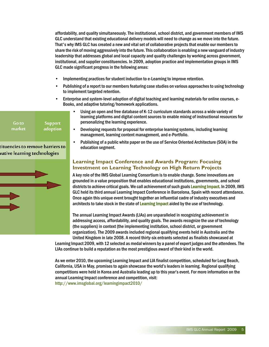affordability, and quality simultaneously. The institutional, school district, and government members of IMS GLC understand that existing educational delivery models will need to change as we move into the future. That's why IMS GLC has created a new and vital set of collaborative projects that enable our members to share the risk of moving aggressively into the future. This collaboration is enabling a new vanguard of industry leadership that addresses global and local capacity and quality challenges by working across government, institutional, and supplier constituencies. In 2009, adoption practice and implementation groups in IMS GLC made significant progress in the following areas:

- Implementing practices for student induction to e-Learning to improve retention.
- Publishing of a report to our members featuring case studies on various approaches to using technology to implement targeted retention.
- Enterprise and system-level adoption of digital teaching and learning materials for online courses, e-Books, and adaptive tutoring/homework applications.
	- Using an open and free database of K-12 curriculum standards across a wide variety of learning platforms and digital content sources to enable mixing of instructional resources for personalizing the learning experience.
	- Developing requests for proposal for enterprise learning systems, including learning management, learning content management, and e-Portfolio.
	- Publishing of a public white paper on the use of Service Oriented Architecture (SOA) in the education segment.

#### **Learning Impact Conference and Awards Program: Focusing Investment on Learning Technology on High Return Projects**

A key role of the IMS Global Learning Consortium is to enable change. Some innovations are grounded in a value proposition that enables educational institutions, governments, and school districts to achieve critical goals. We call achievement of such goals **Learning Impact.** In 2009, IMS GLC held its third annual Learning Impact Conference in Barcelona, Spain with record attendance. Once again this unique event brought together an influential cadre of industry executives and architects to take stock in the state of **Learning Impact** aided by the use of technology.

The annual Learning Impact Awards (LIAs) are unparalleled in recognizing achievement in addressing access, affordability, and quality goals. The awards recognize the use of technology (the suppliers) in context (the implementing institution, school district, or government organization). The 2009 awards included regional qualifying events held in Australia and the United Kingdom in late 2008. A record thirty-six entrants selected as finalists showcased at

Learning Impact 2009, with 12 selected as medal winners by a panel of expert judges and the attendees. The LIAs continue to build a reputation as the most prestigious award of their kind in the world.

As we enter 2010, the upcoming Learning Impact and LIA finalist competition, scheduled for Long Beach, California, USA in May, promises to again showcase the world's leaders in learning. Regional qualifying competitions were held in Korea and Australia leading up to this year's event. For more information on the annual Learning Impact conference and competition, visit: http://www.imsglobal.org/learningimpact2010/

Go to **Support** market adoption

#### tituencies to remove barriers to vative learning technologies

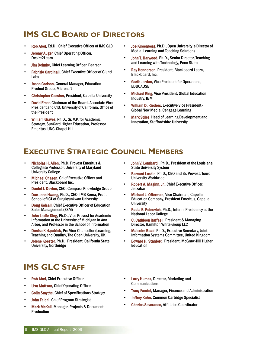# **IMS GLC BOARD OF DIRECTORS**

- Rob Abel, Ed.D., Chief Executive Officer of IMS GLC
- **Jeremy Auger, Chief Operating Officer,** Desire2Learn
- **Jim Behnke, Chief Learning Officer, Pearson**
- Fabrizio Cardinali, Chief Executive Officer of Giunti Labs
- Jason Carlson, General Manager, Education Product Group, Microsoft
- Christopher Cassirer, President, Capella University
- David Ernst, Chairman of the Board, Associate Vice President and CIO, University of California, Office of the President
- William Graves, Ph.D., Sr. V.P. for Academic Strategy, SunGard Higher Education, Professor Emeritus, UNC-Chapel Hill
- Joel Greenberg, Ph.D., Open University's Director of Media, Learning and Teaching Solutions
- John T. Harwood, Ph.D., Senior Director, Teaching and Learning with Technology, Penn State
- Ray Henderson, President, Blackboard Learn, Blackboard, Inc.
- Garth Jordan, Vice President for Operations, EDUCAUSE
- **Michael King, Vice President, Global Education** Industry, IBM
- William D. Rieders, Executive Vice President Global New Media, Cengage Learning
- **Mark Stiles, Head of Learning Development and** Innovation, Staffordshire University

### **EXECUTIVE STRATEGIC COUNCIL MEMBERS**

- Nicholas H. Allen, Ph.D, Provost Emeritus & Collegiate Professor, University of Maryland University College
- Michael Chasen, Chief Executive Officer and President, Blackboard Inc.
- Daniel J. Devine, CEO, Compass Knowledge Group
- Dae-Joon Hwang, Ph.D., CEO, IMS Korea, Prof., School of ICT of Sungkyunkwan University
- **Doug Kelsall, Chief Executive Officer of Education** Sales Management (ESM)
- John Leslie King, Ph.D., Vice Provost for Academic Information at the University of Michigan in Ann Arbor, and Professor in the School of Information
- Denise Kirkpatrick, Pro Vice-Chancellor (Learning, Teaching and Quality), The Open University, UK
- Jolene Koester, Ph.D., President, California State University, Northridge
- John V. Lombardi, Ph.D., President of the Louisiana State University System
- Bernard Luskin, Ph.D., CEO and Sr. Provost, Touro University Worldwide
- Robert A. Maginn, Jr., Chief Executive Officer, Jenzabar
- Michael J. Offerman, Vice Chairman, Capella Education Company, President Emeritus, Capella **University**
- Paula E. Peinovich, Ph.D., Interim Presidency at the National Labor College
- C. Cathleen Raffaeli, President & Managing Director, Hamilton White Group LLC
- Malcolm Read, Ph.D., Executive Secretary, Joint Information Systems Committee, United Kingdom
- Edward H. Stanford, President, McGraw-Hill Higher **Education**

# **IMS GLC STAFF**

- Rob Abel, Chief Executive Officer
- **Lisa Mattson, Chief Operating Officer**
- Colin Smythe, Chief of Specifications Strategy
- John Falchi, Chief Program Strategist
- Mark McKell, Manager, Projects & Document Production
- **Larry Humes, Director, Marketing and** Communications
- **Tracy Fandel, Manager, Finance and Administration**
- **Jeffrey Kahn, Common Cartridge Specialist**
- Charles Severance, Affiliates Coordinator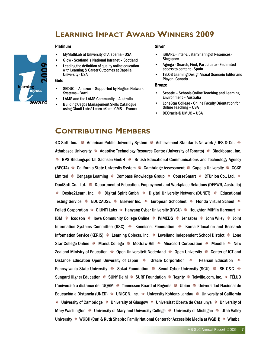### **LEARNING IMPACT AWARD WINNERS 2009**

#### Platinum

- MyMathLab at University of Alabama USA
- Glow Scotland's National Intranet Scotland
- Leading the definition of quality online education with Learning & Career Outcomes at Capella University - USA

#### Gold

- SEDUC Amazon Supported by Hughes Network Systems - Brazil
- LAMS and the LAMS Community Australia
- Building Cegos Management Skills Catalogue using Giunti Labs' Learn eXact LCMS – France

#### Silver

- iSHARE Inter-cluster Sharing of Resources Singapore
- Agrega Search, Find, Participate Federated access to content - Spain
- TELOS Learning Design Visual Scenario Editor and Player - Canada

#### Bronze

- Scootle Schools Online Teaching and Learning Environment – Australia
- LoneStar College Online Faculty Orientation for Online Teaching – USA
- DEOracle @ UMUC USA

### **CONTRIBUTING MEMBERS**

4C Soft, Inc.  $\mathcal X$  American Public University System  $\mathcal X$  Achievement Standards Network / JES & Co.  $\mathcal X$ Athabasca University  $\mathcal K$  Adaptive Technology Resource Centre (University of Toronto)  $\mathcal K$  Blackboard, Inc.  $*$  BPS Bildungsportal Sachsen GmbH  $*$  British Educational Communications and Technology Agency (BECTA)  $*$  California State University System  $*$  Cambridge Assessment  $*$  Capella University  $*$  CCKF Limited  $*$  Cengage Learning  $*$  Compass Knowledge Group  $*$  CourseSmart  $*$  CTUnion Co., Ltd.  $*$ DaulSoft Co., Ltd.  $\mathcal{K}$  Department of Education, Employment and Workplace Relations (DEEWR, Australia) **EXECUBE 2.5 Inc.**   $*$  Digital Spirit Gmbh  $*$  Digital University Network (DUNET)  $*$  Educational Testing Service  $*$  EDUCAUSE  $*$  Elsevier Inc.  $*$  European Schoolnet  $*$  Florida Virtual School  $*$ Follett Corporation  $*$  GIUNTI Labs  $*$  Hanyang Cyber University (HYCU)  $*$  Houghton Mifflin Harcourt  $*$ IBM  $*$  Icodeon  $*$  Iowa Community College Online  $*$  IVIMEDS  $*$  Jenzabar  $*$  John Wiley  $*$  Joint Information Systems Committee (JISC)  $*$  Kennisnet Foundation  $*$  Korea Education and Research Information Service (KERIS)  $*$  Learning Objects, Inc.  $*$  Levelland Independent School District  $*$  Lone Star College Online  $\ast$  Marist College  $\ast$  McGraw-Hill  $\ast$  Microsoft Corporation  $\ast$  Moodle  $\ast$  New Zealand Ministry of Education  $*\$  Open Universiteit Nederland  $*\$  Open University  $*\$  Center of ICT and Distance Education Open University of Japan  $*$  Oracle Corporation  $*$  Pearson Education  $*$ Pennsylvania State University  $*$  Sakai Foundation  $*$  Seoul Cyber University (SCU)  $*$  SK C&C  $*$ Sungard Higher Education  $*\$  SUNY Delhi  $*\$  SURF Foundation  $*\$  Tegrity  $*\$  Tekville.com, Inc.  $*\$  TÉLUQ L'université à distance de l'UQAM  $*$  Tennessee Board of Regents  $*$  Ubion  $*$  Universidad Nacional de Educación a Distancia (UNED) \* UNICON, Inc. \* University Koblenz-Landau \* University of California  $*$  University of Cambridge  $*$  University of Glasgow  $*$  Universitat Oberta de Catalunya  $*$  University of Mary Washington  $*$  University of Maryland University College  $*$  University of Michigan  $*$  Utah Valley University  $*$  WGBH (Carl & Ruth Shapiro Family National Center for Accessible Media at WGBH)  $*$  Wimba